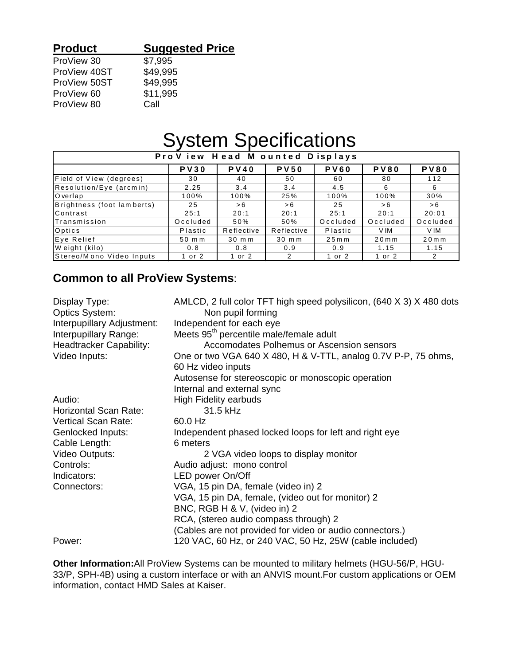### **Product Suggested Price** ProView 30 \$7,995

| ProView 40ST | \$49,995 |
|--------------|----------|
| ProView 50ST | \$49,995 |
| ProView 60   | \$11,995 |
| ProView 80   | Call     |

# System Specifications

| Pro View Head M ounted Displays |             |                  |                  |             |             |             |
|---------------------------------|-------------|------------------|------------------|-------------|-------------|-------------|
|                                 | <b>PV30</b> | <b>PV40</b>      | <b>PV50</b>      | <b>PV60</b> | <b>PV80</b> | <b>PV80</b> |
| <b>Field of View (degrees)</b>  | 30          | 40               | 50               | 60          | 80          | 112         |
| Resolution/Eye (arcmin)         | 2.25        | 3.4              | 3.4              | 4.5         | 6           | 6           |
| Overlap                         | 100%        | 100%             | 25%              | 100%        | 100%        | 30%         |
| Brightness (foot lamberts)      | 25          | > 6              | >6               | 25          | > 6         | > 6         |
| Contrast                        | 25:1        | 20:1             | 20:1             | 25:1        | 20:1        | 20:01       |
| <b>I</b> Transmission           | Occluded    | 50%              | 50%              | Occluded    | Occluded    | Occluded    |
| Optics                          | Plastic     | Reflective       | Reflective       | Plastic     | V IM        | V IM        |
| Eye Relief                      | 50 m m      | $30 \text{ m m}$ | $30 \text{ m m}$ | $25m$ m     | $20m$ m     | $20m$ m     |
| Weight (kilo)                   | 0.8         | 0.8              | 0.9              | 0.9         | 1.15        | 1.15        |
| Stereo/Mono Video Inputs        | 1 or 2      | 1 or 2           | 2                | 1 or 2      | 1 or 2      | 2           |

### **Common to all ProView Systems**:

| Display Type:<br><b>Optics System:</b> | AMLCD, 2 full color TFT high speed polysilicon, (640 X 3) X 480 dots<br>Non pupil forming |
|----------------------------------------|-------------------------------------------------------------------------------------------|
| Interpupillary Adjustment:             | Independent for each eye                                                                  |
| Interpupillary Range:                  | Meets 95 <sup>th</sup> percentile male/female adult                                       |
| <b>Headtracker Capability:</b>         | Accomodates Polhemus or Ascension sensors                                                 |
| Video Inputs:                          | One or two VGA 640 X 480, H & V-TTL, analog 0.7V P-P, 75 ohms,                            |
|                                        | 60 Hz video inputs                                                                        |
|                                        | Autosense for stereoscopic or monoscopic operation                                        |
|                                        | Internal and external sync                                                                |
| Audio:                                 | <b>High Fidelity earbuds</b>                                                              |
| <b>Horizontal Scan Rate:</b>           | 31.5 kHz                                                                                  |
| <b>Vertical Scan Rate:</b>             | 60.0 Hz                                                                                   |
| <b>Genlocked Inputs:</b>               | Independent phased locked loops for left and right eye                                    |
| Cable Length:                          | 6 meters                                                                                  |
| Video Outputs:                         | 2 VGA video loops to display monitor                                                      |
| Controls:                              | Audio adjust: mono control                                                                |
| Indicators:                            | LED power On/Off                                                                          |
| Connectors:                            | VGA, 15 pin DA, female (video in) 2                                                       |
|                                        | VGA, 15 pin DA, female, (video out for monitor) 2                                         |
|                                        | BNC, RGB H & V, (video in) 2                                                              |
|                                        | RCA, (stereo audio compass through) 2                                                     |
|                                        | (Cables are not provided for video or audio connectors.)                                  |
| Power:                                 | 120 VAC, 60 Hz, or 240 VAC, 50 Hz, 25W (cable included)                                   |

**Other Information:**All ProView Systems can be mounted to military helmets (HGU-56/P, HGU-33/P, SPH-4B) using a custom interface or with an ANVIS mount.For custom applications or OEM information, contact HMD Sales at Kaiser.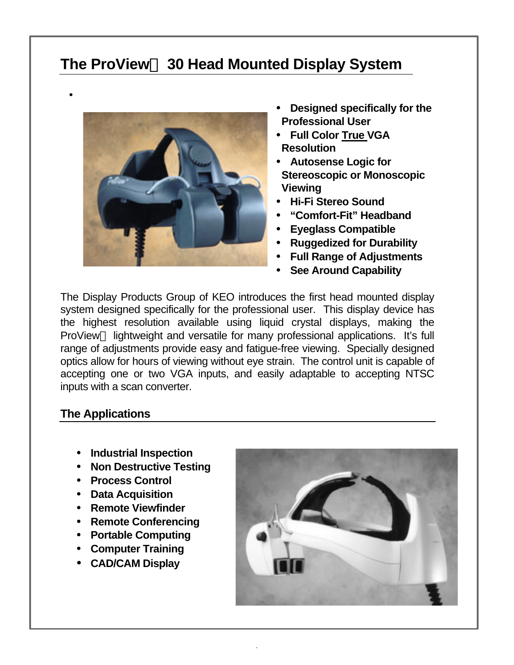# **The ProView 30 Head Mounted Display System**



- **Designed specifically for the Professional User**
- **Full Color True VGA Resolution**
- **Autosense Logic for Stereoscopic or Monoscopic Viewing**
- **Hi-Fi Stereo Sound**
- **"Comfort-Fit" Headband**
- **Eyeglass Compatible**
- **Ruggedized for Durability**
- **Full Range of Adjustments**
- **See Around Capability**

The Display Products Group of KEO introduces the first head mounted display system designed specifically for the professional user. This display device has the highest resolution available using liquid crystal displays, making the ProView<sup>TM</sup> lightweight and versatile for many professional applications. It's full range of adjustments provide easy and fatigue-free viewing. Specially designed optics allow for hours of viewing without eye strain. The control unit is capable of accepting one or two VGA inputs, and easily adaptable to accepting NTSC inputs with a scan converter.

.

### **The Applications**

•

- **Industrial Inspection**
- **Non Destructive Testing**
- **Process Control**
- **Data Acquisition**
- **Remote Viewfinder**
- **Remote Conferencing**
- **Portable Computing**
- **Computer Training**
- **CAD/CAM Display**

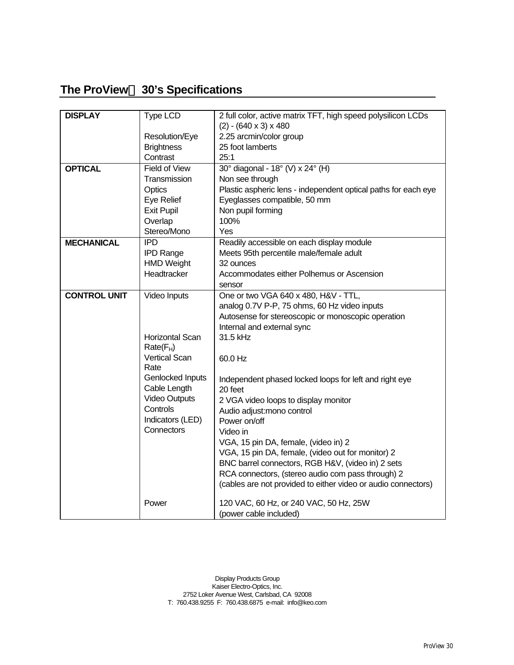## **The ProView<sup>™</sup> 30's Specifications**

| <b>DISPLAY</b>      | Type LCD               | 2 full color, active matrix TFT, high speed polysilicon LCDs   |
|---------------------|------------------------|----------------------------------------------------------------|
|                     |                        | $(2) - (640 \times 3) \times 480$                              |
|                     | Resolution/Eye         | 2.25 arcmin/color group                                        |
|                     | <b>Brightness</b>      | 25 foot lamberts                                               |
|                     | Contrast               | 25:1                                                           |
| <b>OPTICAL</b>      | <b>Field of View</b>   | 30° diagonal - 18° (V) x 24° (H)                               |
|                     | Transmission           | Non see through                                                |
|                     | Optics                 | Plastic aspheric lens - independent optical paths for each eye |
|                     | Eye Relief             | Eyeglasses compatible, 50 mm                                   |
|                     | <b>Exit Pupil</b>      | Non pupil forming                                              |
|                     | Overlap                | 100%                                                           |
|                     | Stereo/Mono            | Yes                                                            |
| <b>MECHANICAL</b>   | <b>IPD</b>             | Readily accessible on each display module                      |
|                     | <b>IPD Range</b>       | Meets 95th percentile male/female adult                        |
|                     | <b>HMD Weight</b>      | 32 ounces                                                      |
|                     | Headtracker            | Accommodates either Polhemus or Ascension                      |
|                     |                        | sensor                                                         |
| <b>CONTROL UNIT</b> | Video Inputs           | One or two VGA 640 x 480, H&V - TTL,                           |
|                     |                        | analog 0.7V P-P, 75 ohms, 60 Hz video inputs                   |
|                     |                        | Autosense for stereoscopic or monoscopic operation             |
|                     |                        | Internal and external sync                                     |
|                     | <b>Horizontal Scan</b> | 31.5 kHz                                                       |
|                     | $Rate(F_H)$            |                                                                |
|                     | <b>Vertical Scan</b>   | 60.0 Hz                                                        |
|                     | Rate                   |                                                                |
|                     | Genlocked Inputs       | Independent phased locked loops for left and right eye         |
|                     | Cable Length           | 20 feet                                                        |
|                     | <b>Video Outputs</b>   | 2 VGA video loops to display monitor                           |
|                     | Controls               | Audio adjust: mono control                                     |
|                     | Indicators (LED)       | Power on/off                                                   |
|                     | Connectors             | Video in                                                       |
|                     |                        | VGA, 15 pin DA, female, (video in) 2                           |
|                     |                        | VGA, 15 pin DA, female, (video out for monitor) 2              |
|                     |                        | BNC barrel connectors, RGB H&V, (video in) 2 sets              |
|                     |                        | RCA connectors, (stereo audio com pass through) 2              |
|                     |                        | (cables are not provided to either video or audio connectors)  |
|                     |                        |                                                                |
|                     | Power                  | 120 VAC, 60 Hz, or 240 VAC, 50 Hz, 25W                         |
|                     |                        | (power cable included)                                         |

Display Products Group Kaiser Electro-Optics, Inc. 2752 Loker Avenue West, Carlsbad, CA 92008 T: 760.438.9255 F: 760.438.6875 e-mail: info@keo.com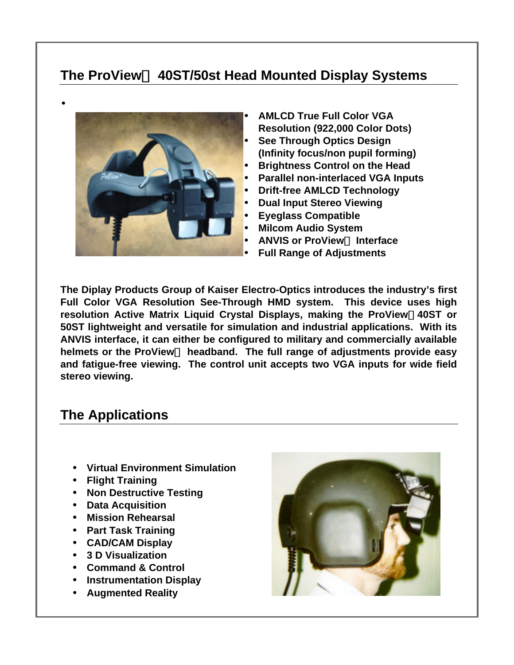## **The ProView 40ST/50st Head Mounted Display Systems**



•

• **AMLCD True Full Color VGA Resolution (922,000 Color Dots)** • **See Through Optics Design (Infinity focus/non pupil forming)** • **Brightness Control on the Head**

- **Parallel non-interlaced VGA Inputs**
- **Drift-free AMLCD Technology**
- **Dual Input Stereo Viewing**
- **Eyeglass Compatible**
- **Milcom Audio System**
- **ANVIS or ProView™ Interface**
- **Full Range of Adjustments**

**The Diplay Products Group of Kaiser Electro-Optics introduces the industry's first Full Color VGA Resolution See-Through HMD system. This device uses high resolution Active Matrix Liquid Crystal Displays, making the ProView40ST or 50ST lightweight and versatile for simulation and industrial applications. With its ANVIS interface, it can either be configured to military and commercially available** helmets or the ProView<sup>™</sup> headband. The full range of adjustments provide easy **and fatigue-free viewing. The control unit accepts two VGA inputs for wide field stereo viewing.**

## **The Applications**

- **Virtual Environment Simulation**
- **Flight Training**
- **Non Destructive Testing**
- **Data Acquisition**
- **Mission Rehearsal**
- **Part Task Training**
- **CAD/CAM Display**
- **3 D Visualization**
- **Command & Control**
- **Instrumentation Display**
- **Augmented Reality**

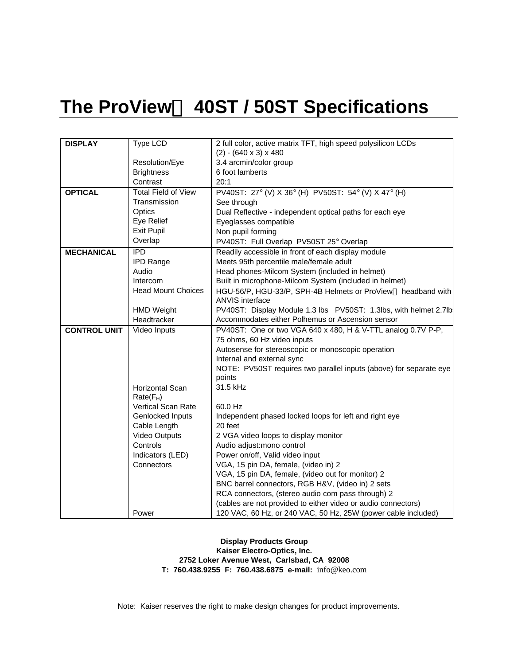# **The ProView 40ST / 50ST Specifications**

| <b>DISPLAY</b>      | Type LCD                       | 2 full color, active matrix TFT, high speed polysilicon LCDs                                           |
|---------------------|--------------------------------|--------------------------------------------------------------------------------------------------------|
|                     |                                | $(2) - (640 \times 3) \times 480$                                                                      |
|                     | Resolution/Eye                 | 3.4 arcmin/color group                                                                                 |
|                     | <b>Brightness</b>              | 6 foot lamberts                                                                                        |
|                     | Contrast                       | 20:1                                                                                                   |
| <b>OPTICAL</b>      | <b>Total Field of View</b>     | PV40ST: 27° (V) X 36° (H) PV50ST: 54° (V) X 47° (H)                                                    |
|                     | Transmission                   | See through                                                                                            |
|                     | Optics                         | Dual Reflective - independent optical paths for each eye                                               |
|                     | Eye Relief                     | Eyeglasses compatible                                                                                  |
|                     | Exit Pupil                     | Non pupil forming                                                                                      |
|                     | Overlap                        | PV40ST: Full Overlap PV50ST 25° Overlap                                                                |
| <b>MECHANICAL</b>   | $\overline{IPD}$               | Readily accessible in front of each display module                                                     |
|                     | <b>IPD Range</b>               | Meets 95th percentile male/female adult                                                                |
|                     | Audio                          | Head phones-Milcom System (included in helmet)                                                         |
|                     | Intercom                       | Built in microphone-Milcom System (included in helmet)                                                 |
|                     | <b>Head Mount Choices</b>      | HGU-56/P, HGU-33/P, SPH-4B Helmets or ProView™ headband with                                           |
|                     |                                | <b>ANVIS</b> interface                                                                                 |
|                     | <b>HMD Weight</b>              | PV40ST: Display Module 1.3 lbs  PV50ST: 1.3lbs, with helmet 2.7lb                                      |
|                     | Headtracker                    | Accommodates either Polhemus or Ascension sensor                                                       |
| <b>CONTROL UNIT</b> | Video Inputs                   | PV40ST: One or two VGA 640 x 480, H & V-TTL analog 0.7V P-P,                                           |
|                     |                                | 75 ohms, 60 Hz video inputs                                                                            |
|                     |                                | Autosense for stereoscopic or monoscopic operation                                                     |
|                     |                                | Internal and external sync                                                                             |
|                     |                                | NOTE: PV50ST requires two parallel inputs (above) for separate eye                                     |
|                     |                                | points                                                                                                 |
|                     | <b>Horizontal Scan</b>         | 31.5 kHz                                                                                               |
|                     | $Rate(F_H)$                    |                                                                                                        |
|                     | Vertical Scan Rate             | 60.0 Hz                                                                                                |
|                     | Genlocked Inputs               | Independent phased locked loops for left and right eye                                                 |
|                     | Cable Length                   | 20 feet                                                                                                |
|                     | <b>Video Outputs</b>           | 2 VGA video loops to display monitor                                                                   |
|                     | Controls                       | Audio adjust: mono control                                                                             |
|                     | Indicators (LED)<br>Connectors | Power on/off, Valid video input                                                                        |
|                     |                                | VGA, 15 pin DA, female, (video in) 2                                                                   |
|                     |                                | VGA, 15 pin DA, female, (video out for monitor) 2<br>BNC barrel connectors, RGB H&V, (video in) 2 sets |
|                     |                                | RCA connectors, (stereo audio com pass through) 2                                                      |
|                     |                                | (cables are not provided to either video or audio connectors)                                          |
|                     | Power                          | 120 VAC, 60 Hz, or 240 VAC, 50 Hz, 25W (power cable included)                                          |
|                     |                                |                                                                                                        |

**Display Products Group Kaiser Electro-Optics, Inc. 2752 Loker Avenue West, Carlsbad, CA 92008 T: 760.438.9255 F: 760.438.6875 e-mail:** info@keo.com

Note: Kaiser reserves the right to make design changes for product improvements.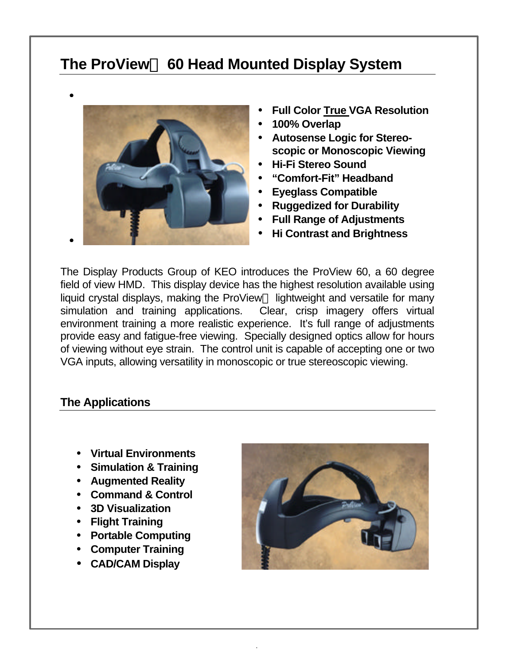## **The ProView 60 Head Mounted Display System**



- **Full Color True VGA Resolution**
- **100% Overlap**
- **Autosense Logic for Stereoscopic or Monoscopic Viewing**
- **Hi-Fi Stereo Sound**
- **"Comfort-Fit" Headband**
- **Eyeglass Compatible**
- **Ruggedized for Durability**
- **Full Range of Adjustments**
- **Hi Contrast and Brightness**

The Display Products Group of KEO introduces the ProView 60, a 60 degree field of view HMD. This display device has the highest resolution available using liquid crystal displays, making the ProView<sup> $TM$ </sup> lightweight and versatile for many simulation and training applications. Clear, crisp imagery offers virtual environment training a more realistic experience. It's full range of adjustments provide easy and fatigue-free viewing. Specially designed optics allow for hours of viewing without eye strain. The control unit is capable of accepting one or two VGA inputs, allowing versatility in monoscopic or true stereoscopic viewing.

.

### **The Applications**

- **Virtual Environments**
- **Simulation & Training**
- **Augmented Reality**
- **Command & Control**
- **3D Visualization**
- **Flight Training**
- **Portable Computing**
- **Computer Training**
- **CAD/CAM Display**

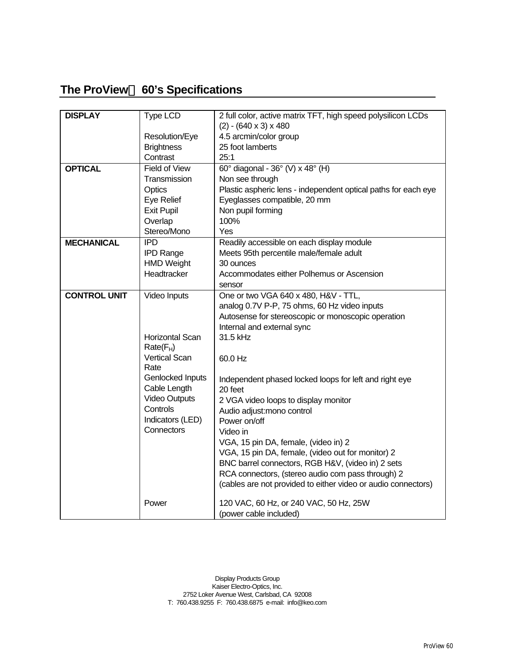## **The ProView<sup>™</sup> 60's Specifications**

| <b>DISPLAY</b>      | <b>Type LCD</b>               | 2 full color, active matrix TFT, high speed polysilicon LCDs      |
|---------------------|-------------------------------|-------------------------------------------------------------------|
|                     |                               | $(2) - (640 \times 3) \times 480$                                 |
|                     | Resolution/Eye                | 4.5 arcmin/color group<br>25 foot lamberts                        |
|                     | <b>Brightness</b><br>Contrast | 25:1                                                              |
|                     |                               |                                                                   |
| <b>OPTICAL</b>      | <b>Field of View</b>          | 60° diagonal - 36° (V) x 48° (H)                                  |
|                     | Transmission                  | Non see through                                                   |
|                     | Optics                        | Plastic aspheric lens - independent optical paths for each eye    |
|                     | Eye Relief                    | Eyeglasses compatible, 20 mm                                      |
|                     | <b>Exit Pupil</b>             | Non pupil forming                                                 |
|                     | Overlap                       | 100%                                                              |
|                     | Stereo/Mono                   | Yes                                                               |
| <b>MECHANICAL</b>   | <b>IPD</b>                    | Readily accessible on each display module                         |
|                     | <b>IPD Range</b>              | Meets 95th percentile male/female adult                           |
|                     | <b>HMD Weight</b>             | 30 ounces                                                         |
|                     | Headtracker                   | Accommodates either Polhemus or Ascension                         |
|                     |                               | sensor                                                            |
| <b>CONTROL UNIT</b> | Video Inputs                  | One or two VGA 640 x 480, H&V - TTL,                              |
|                     |                               | analog 0.7V P-P, 75 ohms, 60 Hz video inputs                      |
|                     |                               | Autosense for stereoscopic or monoscopic operation                |
|                     |                               | Internal and external sync                                        |
|                     | <b>Horizontal Scan</b>        | 31.5 kHz                                                          |
|                     | $Rate(F_H)$                   |                                                                   |
|                     | <b>Vertical Scan</b><br>Rate  | 60.0 Hz                                                           |
|                     | Genlocked Inputs              |                                                                   |
|                     | Cable Length                  | Independent phased locked loops for left and right eye<br>20 feet |
|                     | <b>Video Outputs</b>          | 2 VGA video loops to display monitor                              |
|                     | Controls                      | Audio adjust: mono control                                        |
|                     | Indicators (LED)              | Power on/off                                                      |
|                     | Connectors                    | Video in                                                          |
|                     |                               | VGA, 15 pin DA, female, (video in) 2                              |
|                     |                               | VGA, 15 pin DA, female, (video out for monitor) 2                 |
|                     |                               | BNC barrel connectors, RGB H&V, (video in) 2 sets                 |
|                     |                               | RCA connectors, (stereo audio com pass through) 2                 |
|                     |                               | (cables are not provided to either video or audio connectors)     |
|                     |                               |                                                                   |
|                     | Power                         | 120 VAC, 60 Hz, or 240 VAC, 50 Hz, 25W                            |
|                     |                               | (power cable included)                                            |

Display Products Group Kaiser Electro-Optics, Inc. 2752 Loker Avenue West, Carlsbad, CA 92008 T: 760.438.9255 F: 760.438.6875 e-mail: info@keo.com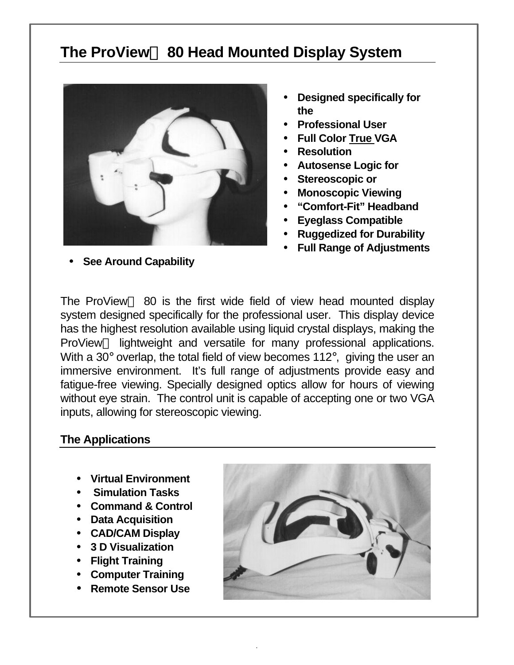# **The ProView™ 80 Head Mounted Display System**



- **Designed specifically for the**
- **Professional User**
- **Full Color True VGA**
- **Resolution**
- **Autosense Logic for**
- **Stereoscopic or**
- **Monoscopic Viewing**
- **"Comfort-Fit" Headband**
- **Eyeglass Compatible**
- **Ruggedized for Durability**
- **Full Range of Adjustments**

The ProView<sup> $TM$ </sup> 80 is the first wide field of view head mounted display system designed specifically for the professional user. This display device has the highest resolution available using liquid crystal displays, making the ProView<sup>™</sup> lightweight and versatile for many professional applications. With a 30° overlap, the total field of view becomes 112°, giving the user an immersive environment. It's full range of adjustments provide easy and fatigue-free viewing. Specially designed optics allow for hours of viewing without eye strain. The control unit is capable of accepting one or two VGA inputs, allowing for stereoscopic viewing.

.

### **The Applications**

- **Virtual Environment**
- **Simulation Tasks**
- **Command & Control**
- **Data Acquisition**
- **CAD/CAM Display**
- **3 D Visualization**
- **Flight Training**
- **Computer Training**
- **Remote Sensor Use**



• **See Around Capability**